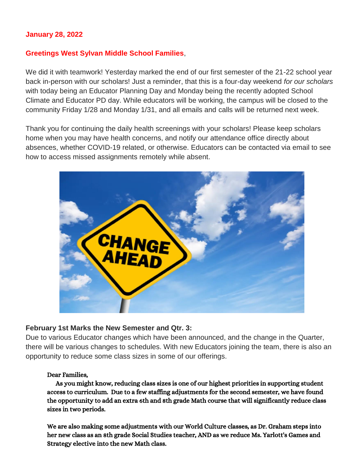### **January 28, 2022**

#### **Greetings West Sylvan Middle School Families**,

We did it with teamwork! Yesterday marked the end of our first semester of the 21-22 school year back in-person with our scholars! Just a reminder, that this is a four-day weekend *for our scholars* with today being an Educator Planning Day and Monday being the recently adopted School Climate and Educator PD day. While educators will be working, the campus will be closed to the community Friday 1/28 and Monday 1/31, and all emails and calls will be returned next week.

Thank you for continuing the daily health screenings with your scholars! Please keep scholars home when you may have health concerns, and notify our attendance office directly about absences, whether COVID-19 related, or otherwise. Educators can be contacted via email to see how to access missed assignments remotely while absent.



#### **February 1st Marks the New Semester and Qtr. 3:**

Due to various Educator changes which have been announced, and the change in the Quarter, there will be various changes to schedules. With new Educators joining the team, there is also an opportunity to reduce some class sizes in some of our offerings.

#### Dear Families,

 As you might know, reducing class sizes is one of our highest priorities in supporting student access to curriculum. Due to a few staffing adjustments for the second semester, we have found the opportunity to add an extra 6th and 8th grade Math course that will significantly reduce class sizes in two periods.

We are also making some adjustments with our World Culture classes, as Dr. Graham steps into her new class as an 8th grade Social Studies teacher, AND as we reduce Ms. Yarlott's Games and Strategy elective into the new Math class.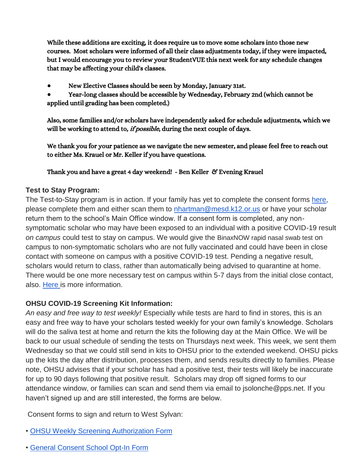While these additions are exciting, it does require us to move some scholars into those new courses. Most scholars were informed of all their class adjustments today, if they were impacted, but I would encourage you to review your StudentVUE this next week for any schedule changes that may be affecting your child's classes.

- New Elective Classes should be seen by Monday, January 31st.
- Year-long classes should be accessible by Wednesday, February 2nd (which cannot be applied until grading has been completed.)

Also, some families and/or scholars have independently asked for schedule adjustments, which we will be working to attend to, *if possible*, during the next couple of days.

We thank you for your patience as we navigate the new semester, and please feel free to reach out to either Ms. Krauel or Mr. Keller if you have questions.

### Thank you and have a great 4 day weekend! - Ben Keller & Evening Krauel

### **Test to Stay Program:**

The Test-to-Stay program is in action. If your family has yet to complete the consent forms [here,](https://sharedsystems.dhsoha.state.or.us/DHSForms/Served/le3560e.pdf) please complete them and either scan them to [nhartman@mesd.k12.or.us](mailto:nhartman@mesd.k12.or.us) or have your scholar return them to the school's Main Office window. If a consent form is completed, any nonsymptomatic scholar who may have been exposed to an individual with a positive COVID-19 result *on campus* could test to stay on campus. We would give the BinaxNOW rapid nasal swab test on campus to non-symptomatic scholars who are not fully vaccinated and could have been in close contact with someone on campus with a positive COVID-19 test. Pending a negative result, scholars would return to class, rather than automatically being advised to quarantine at home. There would be one more necessary test on campus within 5-7 days from the initial close contact, also. [Here i](https://docs.google.com/document/d/1RiifxD8ZyotgtTy4q0zU6VYEbklFNPNaDJapztiE6EI/edit?usp=sharing)s more information.

# **OHSU COVID-19 Screening Kit Information:**

*An easy and free way to test weekly!* Especially while tests are hard to find in stores, this is an easy and free way to have your scholars tested weekly for your own family's knowledge. Scholars will do the saliva test at home and return the kits the following day at the Main Office. We will be back to our usual schedule of sending the tests on Thursdays next week. This week, we sent them Wednesday so that we could still send in kits to OHSU prior to the extended weekend. OHSU picks up the kits the day after distribution, processes them, and sends results directly to families. Please note, OHSU advises that if your scholar has had a positive test, their tests will likely be inaccurate for up to 90 days following that positive result. Scholars may drop off signed forms to our attendance window, or families can scan and send them via email to jsolonche@pps.net. If you haven't signed up and are still interested, the forms are below.

Consent forms to sign and return to West Sylvan:

- [•](https://drive.google.com/file/d/1WKfLwknOXIYGfjiVTURKB7wvlQW8DAhR/view?usp=sharing) [OHSU Weekly Screening Authorization Form](https://drive.google.com/file/d/1WKfLwknOXIYGfjiVTURKB7wvlQW8DAhR/view?usp=sharing)
- [•](https://drive.google.com/file/d/1JELJW3M6_gp013Dp_Z7QDpvKmsqC5G-S/view?usp=sharing) [General Consent School Opt-In Form](https://drive.google.com/file/d/1JELJW3M6_gp013Dp_Z7QDpvKmsqC5G-S/view?usp=sharing)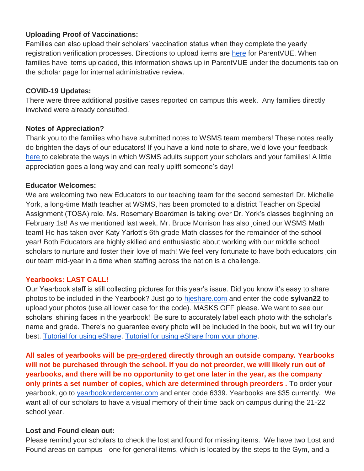# **Uploading Proof of Vaccinations:**

Families can also upload their scholars' vaccination status when they complete the yearly registration verification processes. Directions to upload items are [here](https://docs.google.com/document/d/1AxHhVVEjAqJxV1Vuh9PnfwkZHcp-Tde_x6iFOOEy58Y/edit) for ParentVUE. When families have items uploaded, this information shows up in ParentVUE under the documents tab on the scholar page for internal administrative review.

# **COVID-19 Updates:**

There were three additional positive cases reported on campus this week. Any families directly involved were already consulted.

# **Notes of Appreciation?**

Thank you to the families who have submitted notes to WSMS team members! These notes really do brighten the days of our educators! If you have a kind note to share, we'd love your feedback [here t](https://forms.gle/3TsJKYDfcfbLhiKu7)o celebrate the ways in which WSMS adults support your scholars and your families! A little appreciation goes a long way and can really uplift someone's day!

### **Educator Welcomes:**

We are welcoming two new Educators to our teaching team for the second semester! Dr. Michelle York, a long-time Math teacher at WSMS, has been promoted to a district Teacher on Special Assignment (TOSA) role. Ms. Rosemary Boardman is taking over Dr. York's classes beginning on February 1st! As we mentioned last week, Mr. Bruce Morrison has also joined our WSMS Math team! He has taken over Katy Yarlott's 6th grade Math classes for the remainder of the school year! Both Educators are highly skilled and enthusiastic about working with our middle school scholars to nurture and foster their love of math! We feel very fortunate to have both educators join our team mid-year in a time when staffing across the nation is a challenge.

#### **Yearbooks: LAST CALL!**

Our Yearbook staff is still collecting pictures for this year's issue. Did you know it's easy to share photos to be included in the Yearbook? Just go to [hjeshare.com](https://hjeshare.com/eShare/) and enter the code **sylvan22** to upload your photos (use all lower case for the code). MASKS OFF please. We want to see our scholars' shining faces in the yearbook! Be sure to accurately label each photo with the scholar's name and grade. There's no guarantee every photo will be included in the book, but we will try our best. [Tutorial for using eShare.](https://herffjones.wistia.com/medias/h1e7m2ythz) [Tutorial for using eShare from your phone.](https://herffjones.wistia.com/medias/62ap3qbbp3)

**All sales of yearbooks will be pre-ordered directly through an outside company. Yearbooks will not be purchased through the school. If you do not preorder, we will likely run out of yearbooks, and there will be no opportunity to get one later in the year, as the company only prints a set number of copies, which are determined through preorders .** To order your yearbook, go to [yearbookordercenter.com](http://yearbookordercenter.com/) and enter code 6339. Yearbooks are \$35 currently. We want all of our scholars to have a visual memory of their time back on campus during the 21-22 school year.

# **Lost and Found clean out:**

Please remind your scholars to check the lost and found for missing items. We have two Lost and Found areas on campus - one for general items, which is located by the steps to the Gym, and a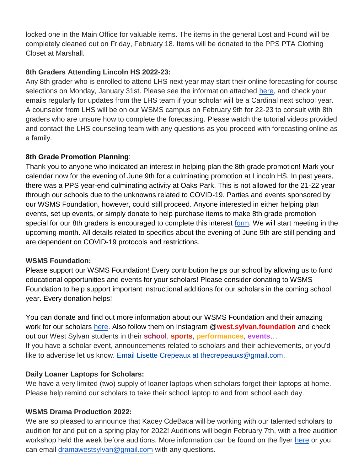locked one in the Main Office for valuable items. The items in the general Lost and Found will be completely cleaned out on Friday, February 18. Items will be donated to the PPS PTA Clothing Closet at Marshall.

# **8th Graders Attending Lincoln HS 2022-23:**

Any 8th grader who is enrolled to attend LHS next year may start their online forecasting for course selections on Monday, January 31st. Please see the information attached [here,](https://lhspdxcounseling.weebly.com/8th-grade-forecasting.html) and check your emails regularly for updates from the LHS team if your scholar will be a Cardinal next school year. A counselor from LHS will be on our WSMS campus on February 9th for 22-23 to consult with 8th graders who are unsure how to complete the forecasting. Please watch the tutorial videos provided and contact the LHS counseling team with any questions as you proceed with forecasting online as a family.

# **8th Grade Promotion Planning**:

Thank you to anyone who indicated an interest in helping plan the 8th grade promotion! Mark your calendar now for the evening of June 9th for a culminating promotion at Lincoln HS. In past years, there was a PPS year-end culminating activity at Oaks Park. This is not allowed for the 21-22 year through our schools due to the unknowns related to COVID-19. Parties and events sponsored by our WSMS Foundation, however, could still proceed. Anyone interested in either helping plan events, set up events, or simply donate to help purchase items to make 8th grade promotion special for our 8th graders is encouraged to complete this interest [form.](https://forms.gle/Gi3NaW3dNDFK8fNK8) We will start meeting in the upcoming month. All details related to specifics about the evening of June 9th are still pending and are dependent on COVID-19 protocols and restrictions.

# **WSMS Foundation:**

Please support our WSMS Foundation! Every contribution helps our school by allowing us to fund educational opportunities and events for your scholars! Please consider donating to WSMS Foundation to help support important instructional additions for our scholars in the coming school year. Every donation helps!

You can donate and find out more information about our WSMS Foundation and their amazing work for our scholars [here.](https://www.westsylvanfoundation.com/) Also follow them on Instagram @**west.sylvan.foundation** and check out our West Sylvan students in their **school**, **sports**, **performances**, **events**… If you have a scholar event, announcements related to scholars and their achievements, or you'd like to advertise let us know. Email Lisette Crepeaux at thecrepeauxs@gmail.com.

# **Daily Loaner Laptops for Scholars:**

We have a very limited (two) supply of loaner laptops when scholars forget their laptops at home. Please help remind our scholars to take their school laptop to and from school each day.

# **WSMS Drama Production 2022:**

We are so pleased to announce that Kacey CdeBaca will be working with our talented scholars to audition for and put on a spring play for 2022! Auditions will begin February 7th, with a free audition workshop held the week before auditions. More information can be found on the flyer [here](https://drive.google.com/file/d/1IaZuyQpo8qyHRZaSCV1EA3nsbkW7OiVS/view?usp=sharing) or you can email [dramawestsylvan@gmail.com](mailto:dramawestsylvan@gmail.com) with any questions.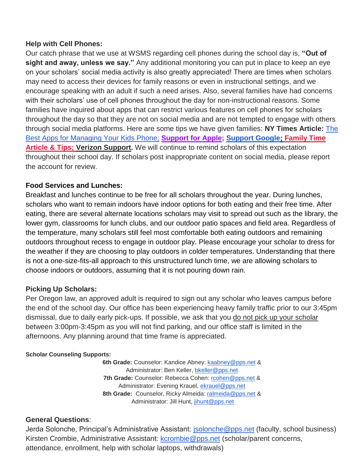# **Help with Cell Phones:**

Our catch phrase that we use at WSMS regarding cell phones during the school day is, **"Out of sight and away, unless we say."** Any additional monitoring you can put in place to keep an eye on your scholars' social media activity is also greatly appreciated! There are times when scholars may need to access their devices for family reasons or even in instructional settings, and we encourage speaking with an adult if such a need arises. Also, several families have had concerns with their scholars' use of cell phones throughout the day for non-instructional reasons. Some families have inquired about apps that can restrict various features on cell phones for scholars throughout the day so that they are not on social media and are not tempted to engage with others through social media platforms. Here are some tips we have given families: **NY Times Article:** [The](https://www.nytimes.com/wirecutter/reviews/best-apps-to-manage-your-kids-phone/)  [Best Apps for Managing Your Kids Phone;](https://www.nytimes.com/wirecutter/reviews/best-apps-to-manage-your-kids-phone/) **[Support for Apple;](https://support.apple.com/guide/iphone/set-up-parental-controls-iph00ba7d632/ios) [Support Google;](https://support.google.com/families/answer/7103340?hl=en) [Family Time](https://familytime.io/)  [Article & Tips;](https://familytime.io/) [Verizon Support.](https://www.verizon.com/support/verizon-smart-family-restrictions-video/)** We will continue to remind scholars of this expectation throughout their school day. If scholars post inappropriate content on social media, please report the account for review.

# **Food Services and Lunches:**

Breakfast and lunches continue to be free for all scholars throughout the year. During lunches, scholars who want to remain indoors have indoor options for both eating and their free time. After eating, there are several alternate locations scholars may visit to spread out such as the library, the lower gym, classrooms for lunch clubs, and our outdoor patio spaces and field area. Regardless of the temperature, many scholars still feel most comfortable both eating outdoors and remaining outdoors throughout recess to engage in outdoor play. Please encourage your scholar to dress for the weather if they are choosing to play outdoors in colder temperatures. Understanding that there is not a one-size-fits-all approach to this unstructured lunch time, we are allowing scholars to choose indoors or outdoors, assuming that it is not pouring down rain.

# **Picking Up Scholars:**

Per Oregon law, an approved adult is required to sign out any scholar who leaves campus before the end of the school day. Our office has been experiencing heavy family traffic prior to our 3:45pm dismissal, due to daily early pick-ups. If possible, we ask that you do not pick up your scholar between 3:00pm-3:45pm as you will not find parking, and our office staff is limited in the afternoons. Any planning around that time frame is appreciated.

# **Scholar Counseling Supports:**

**6th Grade:** Counselor: Kandice Abney: [kaabney@pps.net](mailto:kaabney@pps.net) & Administrator: Ben Keller, [bkeller@pps.net](mailto:bkeller@pps.net) **7th Grade:** Counselor: Rebecca Cohen: [rcohen@pps.net](mailto:rcohen@pps.net) & Administrator: Evening Krauel, [ekrauel@pps.net](mailto:ekrauel@pps.net) 8th Grade: Counselor, Ricky Almeida: [ralmeida@pps.net](mailto:ralmeida@pps.net) & Administrator: Jill Hunt, [jihunt@pps.net](mailto:jihunt@pps.net)

# **General Questions**:

Jerda Solonche, Principal's Administrative Assistant: [jsolonche@pps.net](mailto:jsolonche@pps.net) (faculty, school business) Kirsten Crombie, Administrative Assistant: [kcrombie@pps.net](mailto:kcrombie@pps.net) (scholar/parent concerns, attendance, enrollment, help with scholar laptops, withdrawals)